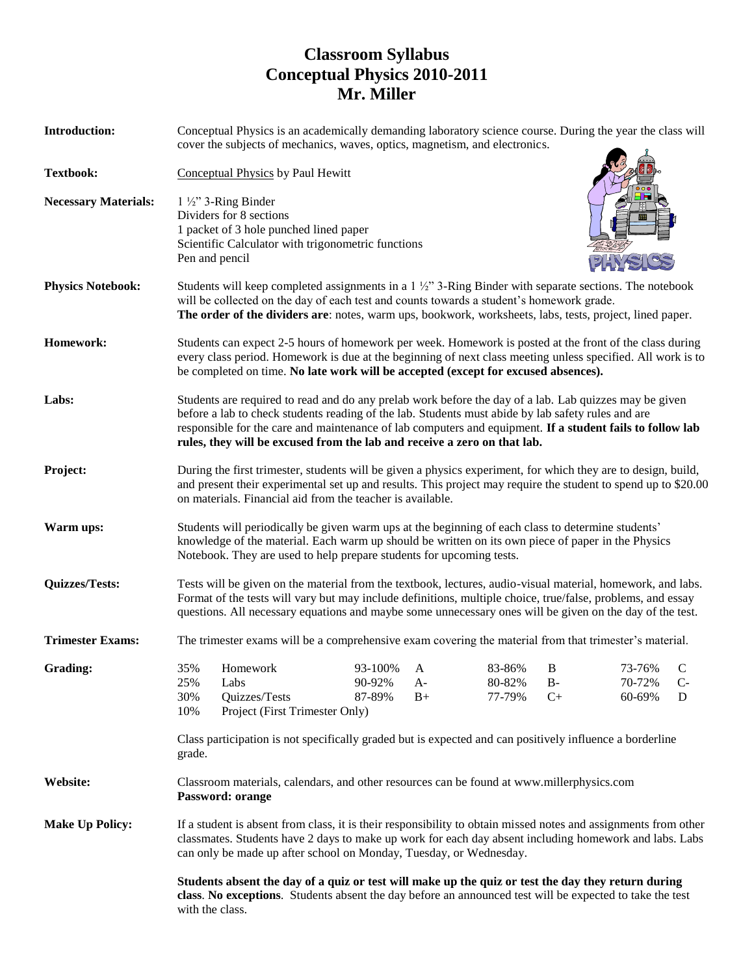## **Classroom Syllabus Conceptual Physics 2010-2011 Mr. Miller**

| <b>Introduction:</b>        | Conceptual Physics is an academically demanding laboratory science course. During the year the class will<br>cover the subjects of mechanics, waves, optics, magnetism, and electronics.                                                                                                                                                                                                              |                                                                                                                                                                                                                                   |                             |                 |                            |                    |                            |                |
|-----------------------------|-------------------------------------------------------------------------------------------------------------------------------------------------------------------------------------------------------------------------------------------------------------------------------------------------------------------------------------------------------------------------------------------------------|-----------------------------------------------------------------------------------------------------------------------------------------------------------------------------------------------------------------------------------|-----------------------------|-----------------|----------------------------|--------------------|----------------------------|----------------|
| <b>Textbook:</b>            | <b>Conceptual Physics by Paul Hewitt</b>                                                                                                                                                                                                                                                                                                                                                              |                                                                                                                                                                                                                                   |                             |                 |                            |                    |                            |                |
| <b>Necessary Materials:</b> | $1\frac{1}{2}$ 3-Ring Binder<br>Dividers for 8 sections<br>1 packet of 3 hole punched lined paper<br>Scientific Calculator with trigonometric functions<br>Pen and pencil                                                                                                                                                                                                                             |                                                                                                                                                                                                                                   |                             |                 |                            |                    |                            |                |
| <b>Physics Notebook:</b>    | Students will keep completed assignments in a $1\frac{1}{2}$ " 3-Ring Binder with separate sections. The notebook<br>will be collected on the day of each test and counts towards a student's homework grade.<br>The order of the dividers are: notes, warm ups, bookwork, worksheets, labs, tests, project, lined paper.                                                                             |                                                                                                                                                                                                                                   |                             |                 |                            |                    |                            |                |
| Homework:                   | Students can expect 2-5 hours of homework per week. Homework is posted at the front of the class during<br>every class period. Homework is due at the beginning of next class meeting unless specified. All work is to<br>be completed on time. No late work will be accepted (except for excused absences).                                                                                          |                                                                                                                                                                                                                                   |                             |                 |                            |                    |                            |                |
| Labs:                       | Students are required to read and do any prelab work before the day of a lab. Lab quizzes may be given<br>before a lab to check students reading of the lab. Students must abide by lab safety rules and are<br>responsible for the care and maintenance of lab computers and equipment. If a student fails to follow lab<br>rules, they will be excused from the lab and receive a zero on that lab. |                                                                                                                                                                                                                                   |                             |                 |                            |                    |                            |                |
| Project:                    | During the first trimester, students will be given a physics experiment, for which they are to design, build,<br>and present their experimental set up and results. This project may require the student to spend up to \$20.00<br>on materials. Financial aid from the teacher is available.                                                                                                         |                                                                                                                                                                                                                                   |                             |                 |                            |                    |                            |                |
| Warm ups:                   | Students will periodically be given warm ups at the beginning of each class to determine students'<br>knowledge of the material. Each warm up should be written on its own piece of paper in the Physics<br>Notebook. They are used to help prepare students for upcoming tests.                                                                                                                      |                                                                                                                                                                                                                                   |                             |                 |                            |                    |                            |                |
| <b>Quizzes/Tests:</b>       | Tests will be given on the material from the textbook, lectures, audio-visual material, homework, and labs.<br>Format of the tests will vary but may include definitions, multiple choice, true/false, problems, and essay<br>questions. All necessary equations and maybe some unnecessary ones will be given on the day of the test.                                                                |                                                                                                                                                                                                                                   |                             |                 |                            |                    |                            |                |
| <b>Trimester Exams:</b>     | The trimester exams will be a comprehensive exam covering the material from that trimester's material.                                                                                                                                                                                                                                                                                                |                                                                                                                                                                                                                                   |                             |                 |                            |                    |                            |                |
| Grading:                    | 35%<br>25%<br>30%<br>10%                                                                                                                                                                                                                                                                                                                                                                              | Homework<br>Labs<br>Quizzes/Tests<br>Project (First Trimester Only)                                                                                                                                                               | 93-100%<br>90-92%<br>87-89% | A<br>A-<br>$B+$ | 83-86%<br>80-82%<br>77-79% | B<br>$B -$<br>$C+$ | 73-76%<br>70-72%<br>60-69% | C<br>$C-$<br>D |
|                             | Class participation is not specifically graded but is expected and can positively influence a borderline<br>grade.                                                                                                                                                                                                                                                                                    |                                                                                                                                                                                                                                   |                             |                 |                            |                    |                            |                |
| Website:                    | Classroom materials, calendars, and other resources can be found at www.millerphysics.com<br>Password: orange                                                                                                                                                                                                                                                                                         |                                                                                                                                                                                                                                   |                             |                 |                            |                    |                            |                |
| <b>Make Up Policy:</b>      | If a student is absent from class, it is their responsibility to obtain missed notes and assignments from other<br>classmates. Students have 2 days to make up work for each day absent including homework and labs. Labs<br>can only be made up after school on Monday, Tuesday, or Wednesday.                                                                                                       |                                                                                                                                                                                                                                   |                             |                 |                            |                    |                            |                |
|                             |                                                                                                                                                                                                                                                                                                                                                                                                       | Students absent the day of a quiz or test will make up the quiz or test the day they return during<br>class. No exceptions. Students absent the day before an announced test will be expected to take the test<br>with the class. |                             |                 |                            |                    |                            |                |